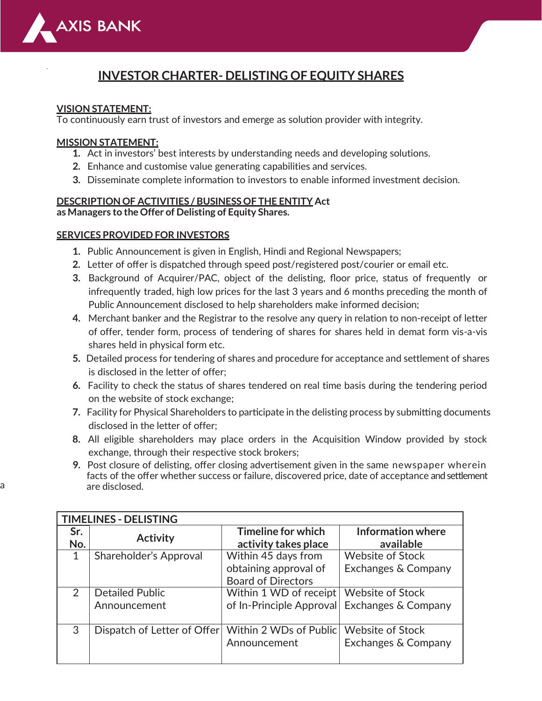

# **INVESTOR CHARTER- DELISTING OF EQUITY SHARES**

## **VISION STATEMENT:**

To continuously earn trust of investors and emerge as solution provider with integrity.

## **MISSION STATEMENT:**

- **1.** Act in investors' best interests by understanding needs and developing solutions.
- **2.** Enhance and customise value generating capabilities and services.
- **3.** Disseminate complete information to investors to enable informed investment decision.

## **DESCRIPTION OF ACTIVITIES / BUSINESS OF THE ENTITY Act**

**as Managers to the Offer of Delisting of Equity Shares.**

### **SERVICES PROVIDED FOR INVESTORS**

- **1.** Public Announcement is given in English, Hindi and Regional Newspapers;
- **2.** Letter of offer is dispatched through speed post/registered post/courier or email etc.
- **3.** Background of Acquirer/PAC, object of the delisting, floor price, status of frequently or infrequently traded, high low prices for the last 3 years and 6 months preceding the month of Public Announcement disclosed to help shareholders make informed decision;
- **4.** Merchant banker and the Registrar to the resolve any query in relation to non-receipt of letter of offer, tender form, process of tendering of shares for shares held in demat form vis-a-vis shares held in physical form etc.
- **5.** Detailed process for tendering of shares and procedure for acceptance and settlement of shares is disclosed in the letter of offer;
- **6.** Facility to check the status of shares tendered on real time basis during the tendering period on the website of stock exchange;
- **7.** Facility for Physical Shareholders to participate in the delisting process by submitting documents disclosed in the letter of offer;
- **8.** All eligible shareholders may place orders in the Acquisition Window provided by stock exchange, through their respective stock brokers;
- **9.** Post closure of delisting, offer closing advertisement given in the same newspaper wherein facts of the offer whether success or failure, discovered price, date of acceptance and settlement a are disclosed.

| <b>TIMELINES - DELISTING</b> |                             |                           |                         |  |  |  |
|------------------------------|-----------------------------|---------------------------|-------------------------|--|--|--|
| Sr.                          | <b>Activity</b>             | Timeline for which        | Information where       |  |  |  |
| No.                          |                             | activity takes place      | available               |  |  |  |
|                              | Shareholder's Approval      | Within 45 days from       | <b>Website of Stock</b> |  |  |  |
|                              |                             | obtaining approval of     | Exchanges & Company     |  |  |  |
|                              |                             | <b>Board of Directors</b> |                         |  |  |  |
| 2                            | <b>Detailed Public</b>      | Within 1 WD of receipt    | <b>Website of Stock</b> |  |  |  |
|                              | Announcement                | of In-Principle Approval  | Exchanges & Company     |  |  |  |
|                              |                             |                           |                         |  |  |  |
| 3                            | Dispatch of Letter of Offer | Within 2 WDs of Public    | <b>Website of Stock</b> |  |  |  |
|                              |                             | Announcement              | Exchanges & Company     |  |  |  |
|                              |                             |                           |                         |  |  |  |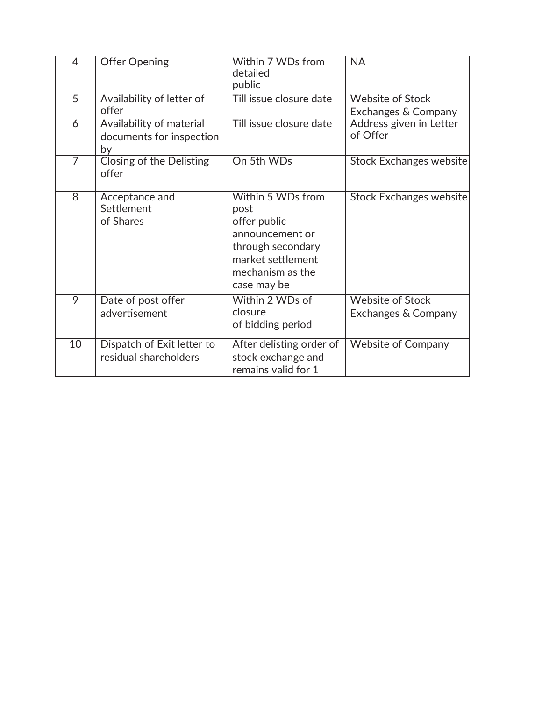| $\overline{4}$ | <b>Offer Opening</b>                                       | Within 7 WDs from<br>detailed<br>public                                                                                                   | <b>NA</b>                                      |
|----------------|------------------------------------------------------------|-------------------------------------------------------------------------------------------------------------------------------------------|------------------------------------------------|
| $\overline{5}$ | Availability of letter of<br>offer                         | Till issue closure date                                                                                                                   | <b>Website of Stock</b><br>Exchanges & Company |
| 6              | Availability of material<br>documents for inspection<br>by | Till issue closure date                                                                                                                   | Address given in Letter<br>of Offer            |
| $\overline{7}$ | Closing of the Delisting<br>offer                          | On 5th WDs                                                                                                                                | Stock Exchanges website                        |
| 8              | Acceptance and<br>Settlement<br>of Shares                  | Within 5 WDs from<br>post<br>offer public<br>announcement or<br>through secondary<br>market settlement<br>mechanism as the<br>case may be | Stock Exchanges website                        |
| 9              | Date of post offer<br>advertisement                        | Within 2 WDs of<br>closure<br>of bidding period                                                                                           | <b>Website of Stock</b><br>Exchanges & Company |
| 10             | Dispatch of Exit letter to<br>residual shareholders        | After delisting order of<br>stock exchange and<br>remains valid for 1                                                                     | <b>Website of Company</b>                      |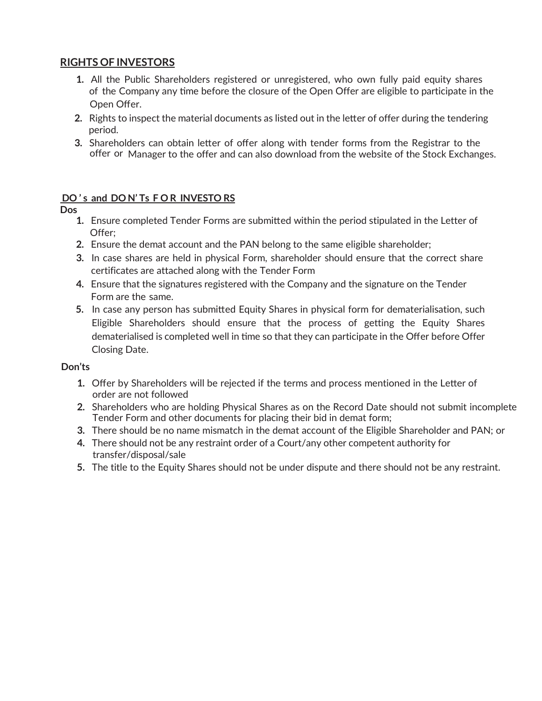## **RIGHTS OF INVESTORS**

- **1.** All the Public Shareholders registered or unregistered, who own fully paid equity shares of the Company any time before the closure of the Open Offer are eligible to participate in the Open Offer.
- **2.** Rights to inspect the material documents as listed out in the letter of offer during the tendering period.
- **3.** Shareholders can obtain letter of offer along with tender forms from the Registrar to the offer or Manager to the offer and can also download from the website of the Stock Exchanges.

## **DO ' s and DO N' Ts F O R INVESTO RS**

## **Dos**

- **1.** Ensure completed Tender Forms are submitted within the period stipulated in the Letter of Offer;
- **2.** Ensure the demat account and the PAN belong to the same eligible shareholder;
- **3.** In case shares are held in physical Form, shareholder should ensure that the correct share certificates are attached along with the Tender Form
- **4.** Ensure that the signatures registered with the Company and the signature on the Tender Form are the same.
- **5.** In case any person has submitted Equity Shares in physical form for dematerialisation, such Eligible Shareholders should ensure that the process of getting the Equity Shares dematerialised is completed well in time so that they can participate in the Offer before Offer Closing Date.

## **Don'ts**

- **1.** Offer by Shareholders will be rejected if the terms and process mentioned in the Letter of order are not followed
- **2.** Shareholders who are holding Physical Shares as on the Record Date should not submit incomplete Tender Form and other documents for placing their bid in demat form;
- **3.** There should be no name mismatch in the demat account of the Eligible Shareholder and PAN; or
- **4.** There should not be any restraint order of a Court/any other competent authority for transfer/disposal/sale
- **5.** The title to the Equity Shares should not be under dispute and there should not be any restraint.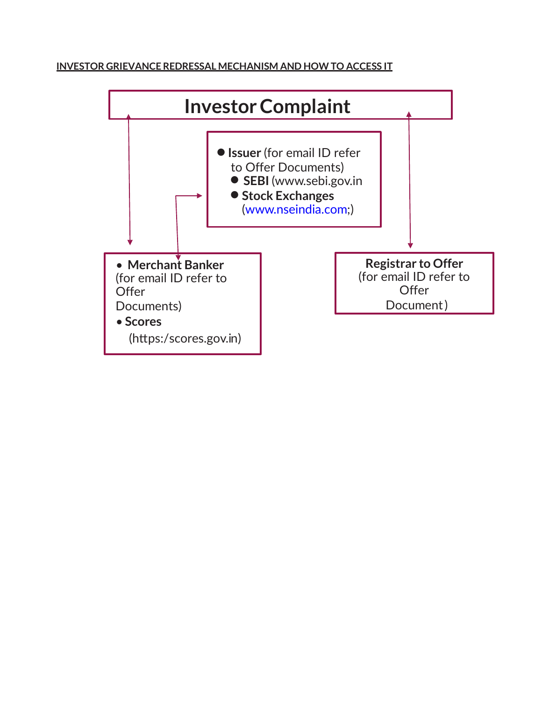## **INVESTOR GRIEVANCE REDRESSAL MECHANISM AND HOW TO ACCESS IT**

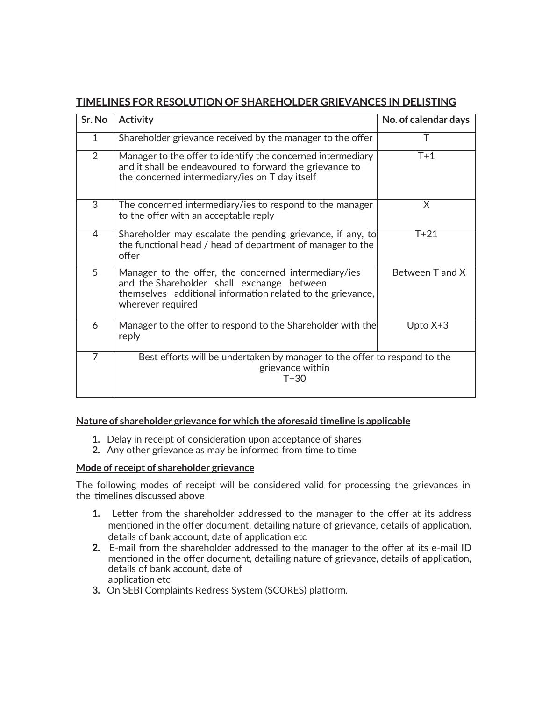| Sr. No         | <b>Activity</b>                                                                                                                                                                        | No. of calendar days |  |
|----------------|----------------------------------------------------------------------------------------------------------------------------------------------------------------------------------------|----------------------|--|
| 1              | Shareholder grievance received by the manager to the offer                                                                                                                             |                      |  |
| 2              | Manager to the offer to identify the concerned intermediary<br>and it shall be endeavoured to forward the grievance to<br>the concerned intermediary/ies on T day itself               | $T+1$                |  |
| 3              | The concerned intermediary/ies to respond to the manager<br>to the offer with an acceptable reply                                                                                      | X                    |  |
| $\overline{4}$ | Shareholder may escalate the pending grievance, if any, to<br>the functional head / head of department of manager to the<br>offer                                                      | $T+21$               |  |
| 5              | Manager to the offer, the concerned intermediary/ies<br>and the Shareholder shall exchange between<br>themselves additional information related to the grievance,<br>wherever required | Between T and X      |  |
| 6              | Manager to the offer to respond to the Shareholder with the<br>reply                                                                                                                   | Upto $X+3$           |  |
| $\overline{7}$ | Best efforts will be undertaken by manager to the offer to respond to the<br>grievance within<br>$T + 30$                                                                              |                      |  |

## **TIMELINES FOR RESOLUTION OF SHAREHOLDER GRIEVANCES IN DELISTING**

#### **Nature of shareholder grievance for which the aforesaid timeline is applicable**

- **1.** Delay in receipt of consideration upon acceptance of shares
- **2.** Any other grievance as may be informed from time to time

#### **Mode of receipt of shareholder grievance**

The following modes of receipt will be considered valid for processing the grievances in the timelines discussed above

- **1.** Letter from the shareholder addressed to the manager to the offer at its address mentioned in the offer document, detailing nature of grievance, details of application, details of bank account, date of application etc
- **2.** E-mail from the shareholder addressed to the manager to the offer at its e-mail ID mentioned in the offer document, detailing nature of grievance, details of application, details of bank account, date of application etc
- **3.** On SEBI Complaints Redress System (SCORES) platform.